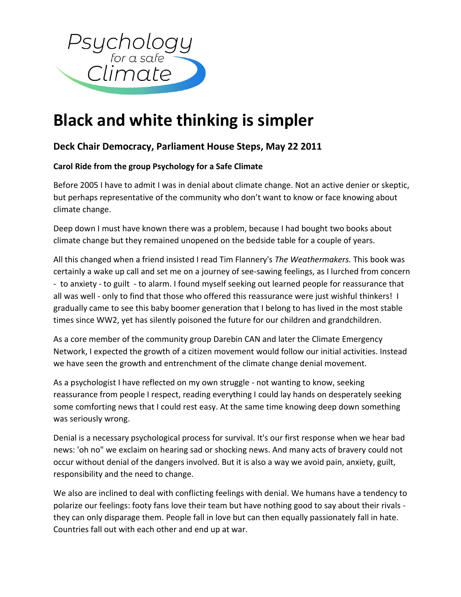

## **Black and white thinking is simpler**

## **Deck Chair Democracy, Parliament House Steps, May 22 2011**

## **Carol Ride from the group Psychology for a Safe Climate**

Before 2005 I have to admit I was in denial about climate change. Not an active denier or skeptic, but perhaps representative of the community who don't want to know or face knowing about climate change.

Deep down I must have known there was a problem, because I had bought two books about climate change but they remained unopened on the bedside table for a couple of years.

All this changed when a friend insisted I read Tim Flannery's *The Weathermakers.* This book was certainly a wake up call and set me on a journey of see-sawing feelings, as I lurched from concern - to anxiety - to guilt - to alarm. I found myself seeking out learned people for reassurance that all was well - only to find that those who offered this reassurance were just wishful thinkers! I gradually came to see this baby boomer generation that I belong to has lived in the most stable times since WW2, yet has silently poisoned the future for our children and grandchildren.

As a core member of the community group Darebin CAN and later the Climate Emergency Network, I expected the growth of a citizen movement would follow our initial activities. Instead we have seen the growth and entrenchment of the climate change denial movement.

As a psychologist I have reflected on my own struggle - not wanting to know, seeking reassurance from people I respect, reading everything I could lay hands on desperately seeking some comforting news that I could rest easy. At the same time knowing deep down something was seriously wrong.

Denial is a necessary psychological process for survival. It's our first response when we hear bad news: 'oh no" we exclaim on hearing sad or shocking news. And many acts of bravery could not occur without denial of the dangers involved. But it is also a way we avoid pain, anxiety, guilt, responsibility and the need to change.

We also are inclined to deal with conflicting feelings with denial. We humans have a tendency to polarize our feelings: footy fans love their team but have nothing good to say about their rivals they can only disparage them. People fall in love but can then equally passionately fall in hate. Countries fall out with each other and end up at war.